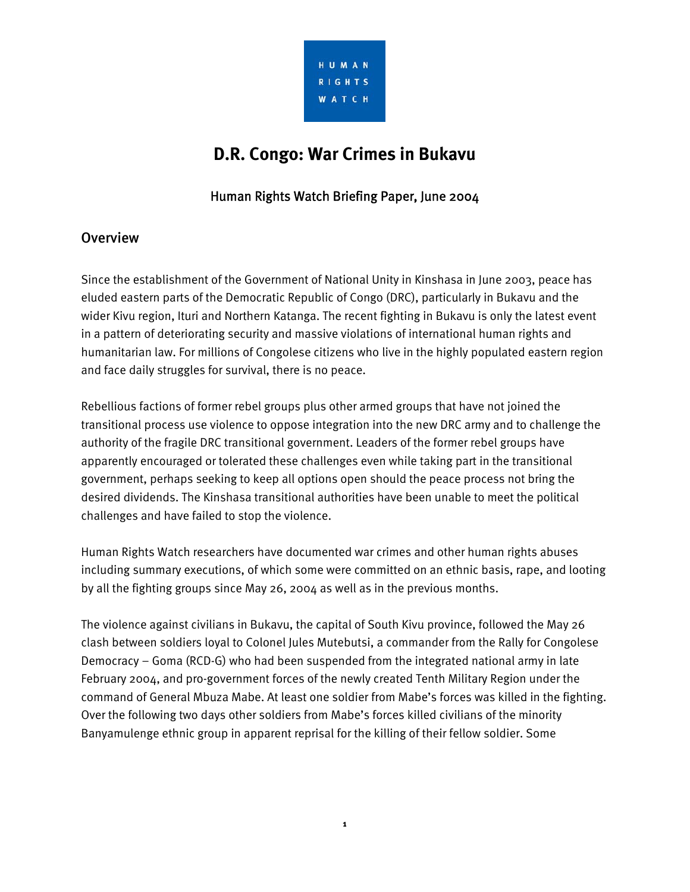

# **D.R. Congo: War Crimes in Bukavu**

## Human Rights Watch Briefing Paper, June 2004

### **Overview**

Since the establishment of the Government of National Unity in Kinshasa in June 2003, peace has eluded eastern parts of the Democratic Republic of Congo (DRC), particularly in Bukavu and the wider Kivu region, Ituri and Northern Katanga. The recent fighting in Bukavu is only the latest event in a pattern of deteriorating security and massive violations of international human rights and humanitarian law. For millions of Congolese citizens who live in the highly populated eastern region and face daily struggles for survival, there is no peace.

Rebellious factions of former rebel groups plus other armed groups that have not joined the transitional process use violence to oppose integration into the new DRC army and to challenge the authority of the fragile DRC transitional government. Leaders of the former rebel groups have apparently encouraged or tolerated these challenges even while taking part in the transitional government, perhaps seeking to keep all options open should the peace process not bring the desired dividends. The Kinshasa transitional authorities have been unable to meet the political challenges and have failed to stop the violence.

Human Rights Watch researchers have documented war crimes and other human rights abuses including summary executions, of which some were committed on an ethnic basis, rape, and looting by all the fighting groups since May 26, 2004 as well as in the previous months.

The violence against civilians in Bukavu, the capital of South Kivu province, followed the May 26 clash between soldiers loyal to Colonel Jules Mutebutsi, a commander from the Rally for Congolese Democracy – Goma (RCD-G) who had been suspended from the integrated national army in late February 2004, and pro-government forces of the newly created Tenth Military Region under the command of General Mbuza Mabe. At least one soldier from Mabe's forces was killed in the fighting. Over the following two days other soldiers from Mabe's forces killed civilians of the minority Banyamulenge ethnic group in apparent reprisal for the killing of their fellow soldier. Some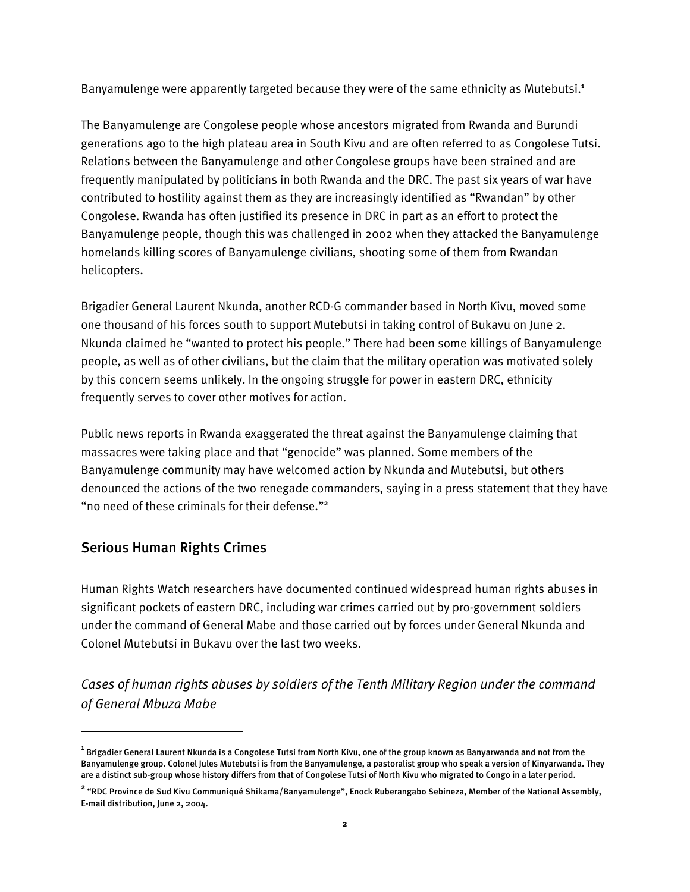Banyamulenge were apparently targeted because they were of the same ethnicity as Mutebutsi.**<sup>1</sup>**

The Banyamulenge are Congolese people whose ancestors migrated from Rwanda and Burundi generations ago to the high plateau area in South Kivu and are often referred to as Congolese Tutsi. Relations between the Banyamulenge and other Congolese groups have been strained and are frequently manipulated by politicians in both Rwanda and the DRC. The past six years of war have contributed to hostility against them as they are increasingly identified as "Rwandan" by other Congolese. Rwanda has often justified its presence in DRC in part as an effort to protect the Banyamulenge people, though this was challenged in 2002 when they attacked the Banyamulenge homelands killing scores of Banyamulenge civilians, shooting some of them from Rwandan helicopters.

Brigadier General Laurent Nkunda, another RCD-G commander based in North Kivu, moved some one thousand of his forces south to support Mutebutsi in taking control of Bukavu on June 2. Nkunda claimed he "wanted to protect his people." There had been some killings of Banyamulenge people, as well as of other civilians, but the claim that the military operation was motivated solely by this concern seems unlikely. In the ongoing struggle for power in eastern DRC, ethnicity frequently serves to cover other motives for action.

Public news reports in Rwanda exaggerated the threat against the Banyamulenge claiming that massacres were taking place and that "genocide" was planned. Some members of the Banyamulenge community may have welcomed action by Nkunda and Mutebutsi, but others denounced the actions of the two renegade commanders, saying in a press statement that they have "no need of these criminals for their defense."**<sup>2</sup>**

### Serious Human Rights Crimes

ֺ

Human Rights Watch researchers have documented continued widespread human rights abuses in significant pockets of eastern DRC, including war crimes carried out by pro-government soldiers under the command of General Mabe and those carried out by forces under General Nkunda and Colonel Mutebutsi in Bukavu over the last two weeks.

*Cases of human rights abuses by soldiers of the Tenth Military Region under the command of General Mbuza Mabe* 

**<sup>1</sup>** Brigadier General Laurent Nkunda is a Congolese Tutsi from North Kivu, one of the group known as Banyarwanda and not from the Banyamulenge group. Colonel Jules Mutebutsi is from the Banyamulenge, a pastoralist group who speak a version of Kinyarwanda. They are a distinct sub-group whose history differs from that of Congolese Tutsi of North Kivu who migrated to Congo in a later period.

**<sup>2</sup>** "RDC Province de Sud Kivu Communiqué Shikama/Banyamulenge", Enock Ruberangabo Sebineza, Member of the National Assembly, E-mail distribution, June 2, 2004.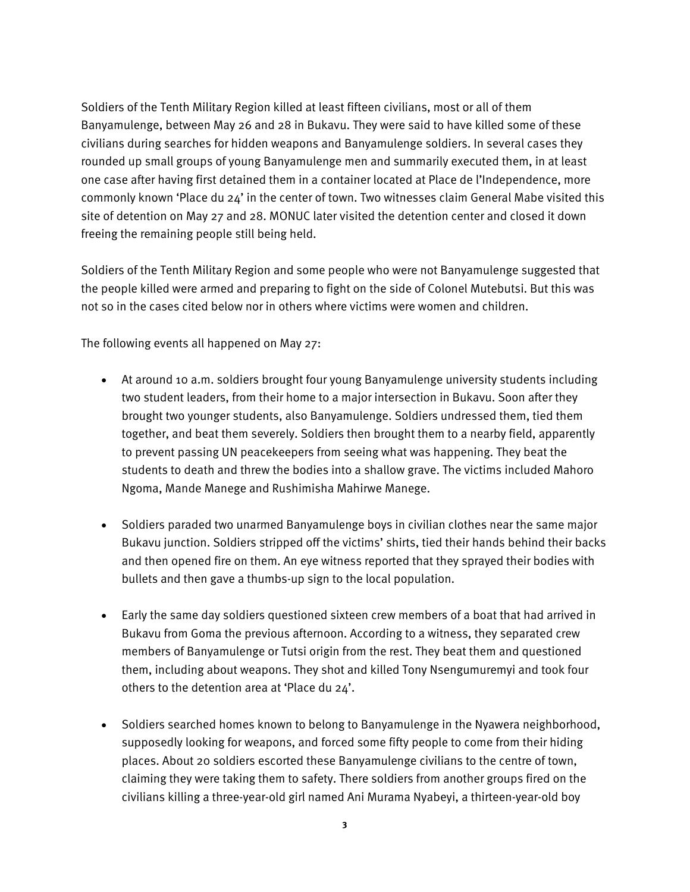Soldiers of the Tenth Military Region killed at least fifteen civilians, most or all of them Banyamulenge, between May 26 and 28 in Bukavu. They were said to have killed some of these civilians during searches for hidden weapons and Banyamulenge soldiers. In several cases they rounded up small groups of young Banyamulenge men and summarily executed them, in at least one case after having first detained them in a container located at Place de l'Independence, more commonly known 'Place du 24' in the center of town. Two witnesses claim General Mabe visited this site of detention on May 27 and 28. MONUC later visited the detention center and closed it down freeing the remaining people still being held.

Soldiers of the Tenth Military Region and some people who were not Banyamulenge suggested that the people killed were armed and preparing to fight on the side of Colonel Mutebutsi. But this was not so in the cases cited below nor in others where victims were women and children.

The following events all happened on May 27:

- At around 10 a.m. soldiers brought four young Banyamulenge university students including two student leaders, from their home to a major intersection in Bukavu. Soon after they brought two younger students, also Banyamulenge. Soldiers undressed them, tied them together, and beat them severely. Soldiers then brought them to a nearby field, apparently to prevent passing UN peacekeepers from seeing what was happening. They beat the students to death and threw the bodies into a shallow grave. The victims included Mahoro Ngoma, Mande Manege and Rushimisha Mahirwe Manege.
- Soldiers paraded two unarmed Banyamulenge boys in civilian clothes near the same major Bukavu junction. Soldiers stripped off the victims' shirts, tied their hands behind their backs and then opened fire on them. An eye witness reported that they sprayed their bodies with bullets and then gave a thumbs-up sign to the local population.
- Early the same day soldiers questioned sixteen crew members of a boat that had arrived in Bukavu from Goma the previous afternoon. According to a witness, they separated crew members of Banyamulenge or Tutsi origin from the rest. They beat them and questioned them, including about weapons. They shot and killed Tony Nsengumuremyi and took four others to the detention area at 'Place du 24'.
- Soldiers searched homes known to belong to Banyamulenge in the Nyawera neighborhood, supposedly looking for weapons, and forced some fifty people to come from their hiding places. About 20 soldiers escorted these Banyamulenge civilians to the centre of town, claiming they were taking them to safety. There soldiers from another groups fired on the civilians killing a three-year-old girl named Ani Murama Nyabeyi, a thirteen-year-old boy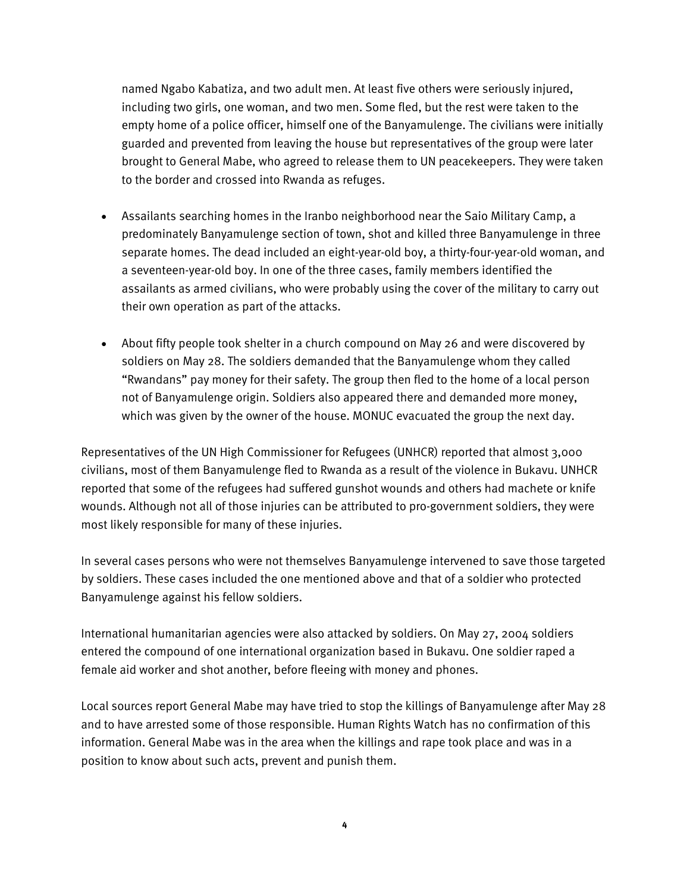named Ngabo Kabatiza, and two adult men. At least five others were seriously injured, including two girls, one woman, and two men. Some fled, but the rest were taken to the empty home of a police officer, himself one of the Banyamulenge. The civilians were initially guarded and prevented from leaving the house but representatives of the group were later brought to General Mabe, who agreed to release them to UN peacekeepers. They were taken to the border and crossed into Rwanda as refuges.

- Assailants searching homes in the Iranbo neighborhood near the Saio Military Camp, a predominately Banyamulenge section of town, shot and killed three Banyamulenge in three separate homes. The dead included an eight-year-old boy, a thirty-four-year-old woman, and a seventeen-year-old boy. In one of the three cases, family members identified the assailants as armed civilians, who were probably using the cover of the military to carry out their own operation as part of the attacks.
- About fifty people took shelter in a church compound on May 26 and were discovered by soldiers on May 28. The soldiers demanded that the Banyamulenge whom they called "Rwandans" pay money for their safety. The group then fled to the home of a local person not of Banyamulenge origin. Soldiers also appeared there and demanded more money, which was given by the owner of the house. MONUC evacuated the group the next day.

Representatives of the UN High Commissioner for Refugees (UNHCR) reported that almost 3,000 civilians, most of them Banyamulenge fled to Rwanda as a result of the violence in Bukavu. UNHCR reported that some of the refugees had suffered gunshot wounds and others had machete or knife wounds. Although not all of those injuries can be attributed to pro-government soldiers, they were most likely responsible for many of these injuries.

In several cases persons who were not themselves Banyamulenge intervened to save those targeted by soldiers. These cases included the one mentioned above and that of a soldier who protected Banyamulenge against his fellow soldiers.

International humanitarian agencies were also attacked by soldiers. On May 27, 2004 soldiers entered the compound of one international organization based in Bukavu. One soldier raped a female aid worker and shot another, before fleeing with money and phones.

Local sources report General Mabe may have tried to stop the killings of Banyamulenge after May 28 and to have arrested some of those responsible. Human Rights Watch has no confirmation of this information. General Mabe was in the area when the killings and rape took place and was in a position to know about such acts, prevent and punish them.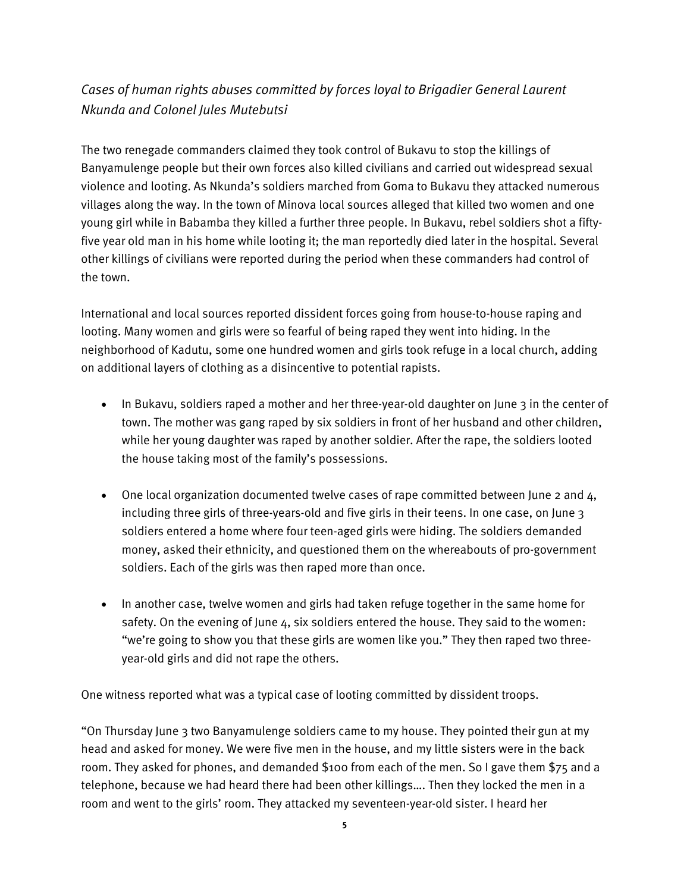# *Cases of human rights abuses committed by forces loyal to Brigadier General Laurent Nkunda and Colonel Jules Mutebutsi*

The two renegade commanders claimed they took control of Bukavu to stop the killings of Banyamulenge people but their own forces also killed civilians and carried out widespread sexual violence and looting. As Nkunda's soldiers marched from Goma to Bukavu they attacked numerous villages along the way. In the town of Minova local sources alleged that killed two women and one young girl while in Babamba they killed a further three people. In Bukavu, rebel soldiers shot a fiftyfive year old man in his home while looting it; the man reportedly died later in the hospital. Several other killings of civilians were reported during the period when these commanders had control of the town.

International and local sources reported dissident forces going from house-to-house raping and looting. Many women and girls were so fearful of being raped they went into hiding. In the neighborhood of Kadutu, some one hundred women and girls took refuge in a local church, adding on additional layers of clothing as a disincentive to potential rapists.

- In Bukavu, soldiers raped a mother and her three-year-old daughter on June 3 in the center of town. The mother was gang raped by six soldiers in front of her husband and other children, while her young daughter was raped by another soldier. After the rape, the soldiers looted the house taking most of the family's possessions.
- One local organization documented twelve cases of rape committed between June 2 and 4, including three girls of three-years-old and five girls in their teens. In one case, on June 3 soldiers entered a home where four teen-aged girls were hiding. The soldiers demanded money, asked their ethnicity, and questioned them on the whereabouts of pro-government soldiers. Each of the girls was then raped more than once.
- In another case, twelve women and girls had taken refuge together in the same home for safety. On the evening of June 4, six soldiers entered the house. They said to the women: "we're going to show you that these girls are women like you." They then raped two threeyear-old girls and did not rape the others.

One witness reported what was a typical case of looting committed by dissident troops.

"On Thursday June 3 two Banyamulenge soldiers came to my house. They pointed their gun at my head and asked for money. We were five men in the house, and my little sisters were in the back room. They asked for phones, and demanded \$100 from each of the men. So I gave them \$75 and a telephone, because we had heard there had been other killings…. Then they locked the men in a room and went to the girls' room. They attacked my seventeen-year-old sister. I heard her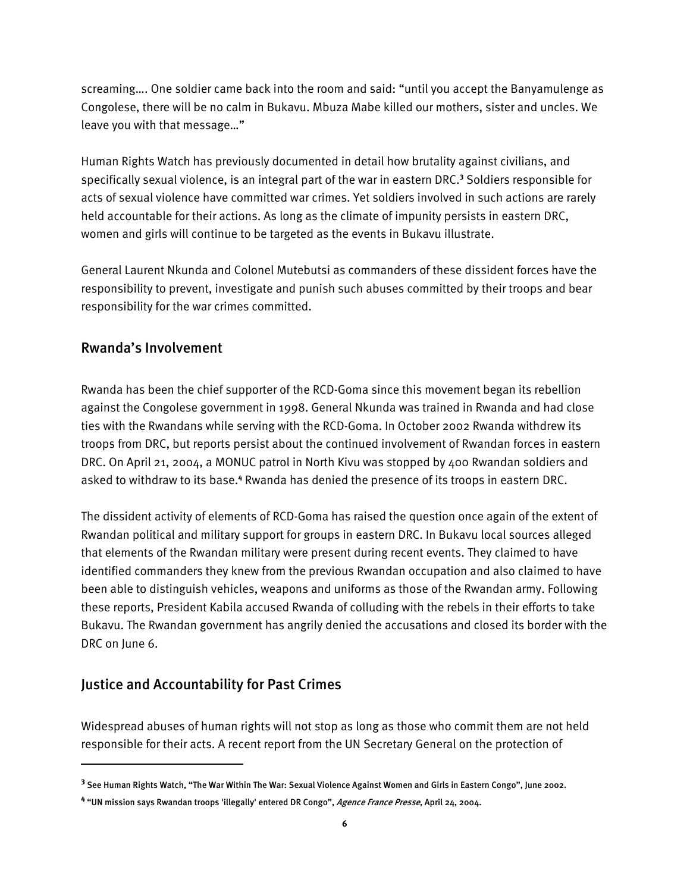screaming…. One soldier came back into the room and said: "until you accept the Banyamulenge as Congolese, there will be no calm in Bukavu. Mbuza Mabe killed our mothers, sister and uncles. We leave you with that message…"

Human Rights Watch has previously documented in detail how brutality against civilians, and specifically sexual violence, is an integral part of the war in eastern DRC.**<sup>3</sup>** Soldiers responsible for acts of sexual violence have committed war crimes. Yet soldiers involved in such actions are rarely held accountable for their actions. As long as the climate of impunity persists in eastern DRC, women and girls will continue to be targeted as the events in Bukavu illustrate.

General Laurent Nkunda and Colonel Mutebutsi as commanders of these dissident forces have the responsibility to prevent, investigate and punish such abuses committed by their troops and bear responsibility for the war crimes committed.

### Rwanda's Involvement

Rwanda has been the chief supporter of the RCD-Goma since this movement began its rebellion against the Congolese government in 1998. General Nkunda was trained in Rwanda and had close ties with the Rwandans while serving with the RCD-Goma. In October 2002 Rwanda withdrew its troops from DRC, but reports persist about the continued involvement of Rwandan forces in eastern DRC. On April 21, 2004, a MONUC patrol in North Kivu was stopped by 400 Rwandan soldiers and asked to withdraw to its base.<sup>4</sup> Rwanda has denied the presence of its troops in eastern DRC.

The dissident activity of elements of RCD-Goma has raised the question once again of the extent of Rwandan political and military support for groups in eastern DRC. In Bukavu local sources alleged that elements of the Rwandan military were present during recent events. They claimed to have identified commanders they knew from the previous Rwandan occupation and also claimed to have been able to distinguish vehicles, weapons and uniforms as those of the Rwandan army. Following these reports, President Kabila accused Rwanda of colluding with the rebels in their efforts to take Bukavu. The Rwandan government has angrily denied the accusations and closed its border with the DRC on June 6.

### Justice and Accountability for Past Crimes

ֺ

Widespread abuses of human rights will not stop as long as those who commit them are not held responsible for their acts. A recent report from the UN Secretary General on the protection of

**<sup>3</sup>** See Human Rights Watch, "The War Within The War: Sexual Violence Against Women and Girls in Eastern Congo", June 2002.

**<sup>4</sup>** "UN mission says Rwandan troops 'illegally' entered DR Congo", Agence France Presse, April 24, 2004.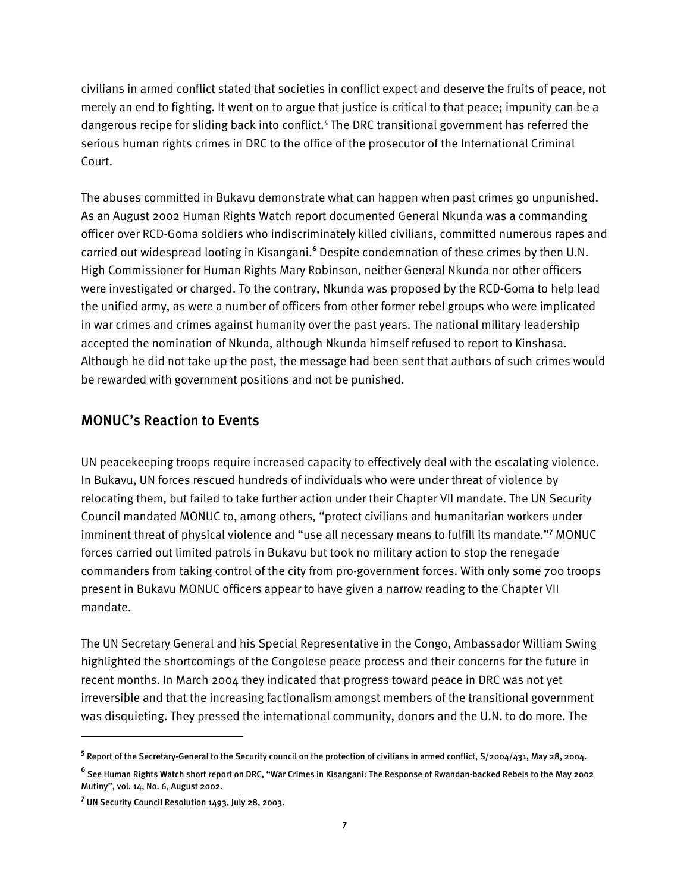civilians in armed conflict stated that societies in conflict expect and deserve the fruits of peace, not merely an end to fighting. It went on to argue that justice is critical to that peace; impunity can be a dangerous recipe for sliding back into conflict.**<sup>5</sup>** The DRC transitional government has referred the serious human rights crimes in DRC to the office of the prosecutor of the International Criminal Court.

The abuses committed in Bukavu demonstrate what can happen when past crimes go unpunished. As an August 2002 Human Rights Watch report documented General Nkunda was a commanding officer over RCD-Goma soldiers who indiscriminately killed civilians, committed numerous rapes and carried out widespread looting in Kisangani.**<sup>6</sup>** Despite condemnation of these crimes by then U.N. High Commissioner for Human Rights Mary Robinson, neither General Nkunda nor other officers were investigated or charged. To the contrary, Nkunda was proposed by the RCD-Goma to help lead the unified army, as were a number of officers from other former rebel groups who were implicated in war crimes and crimes against humanity over the past years. The national military leadership accepted the nomination of Nkunda, although Nkunda himself refused to report to Kinshasa. Although he did not take up the post, the message had been sent that authors of such crimes would be rewarded with government positions and not be punished.

### MONUC's Reaction to Events

UN peacekeeping troops require increased capacity to effectively deal with the escalating violence. In Bukavu, UN forces rescued hundreds of individuals who were under threat of violence by relocating them, but failed to take further action under their Chapter VII mandate. The UN Security Council mandated MONUC to, among others, "protect civilians and humanitarian workers under imminent threat of physical violence and "use all necessary means to fulfill its mandate."**<sup>7</sup>** MONUC forces carried out limited patrols in Bukavu but took no military action to stop the renegade commanders from taking control of the city from pro-government forces. With only some 700 troops present in Bukavu MONUC officers appear to have given a narrow reading to the Chapter VII mandate.

The UN Secretary General and his Special Representative in the Congo, Ambassador William Swing highlighted the shortcomings of the Congolese peace process and their concerns for the future in recent months. In March 2004 they indicated that progress toward peace in DRC was not yet irreversible and that the increasing factionalism amongst members of the transitional government was disquieting. They pressed the international community, donors and the U.N. to do more. The

ֺ

**<sup>5</sup>** Report of the Secretary-General to the Security council on the protection of civilians in armed conflict, S/2004/431, May 28, 2004.

**<sup>6</sup>** See Human Rights Watch short report on DRC, "War Crimes in Kisangani: The Response of Rwandan-backed Rebels to the May 2002 Mutiny", vol. 14, No. 6, August 2002.

**<sup>7</sup>** UN Security Council Resolution 1493, July 28, 2003.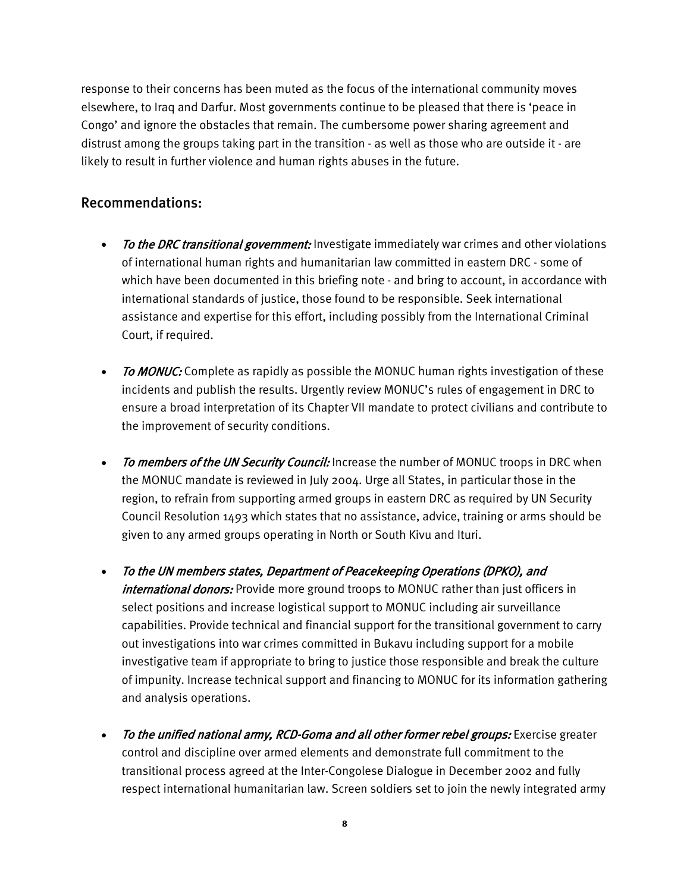response to their concerns has been muted as the focus of the international community moves elsewhere, to Iraq and Darfur. Most governments continue to be pleased that there is 'peace in Congo' and ignore the obstacles that remain. The cumbersome power sharing agreement and distrust among the groups taking part in the transition - as well as those who are outside it - are likely to result in further violence and human rights abuses in the future.

### Recommendations:

- To the DRC transitional government: Investigate immediately war crimes and other violations of international human rights and humanitarian law committed in eastern DRC - some of which have been documented in this briefing note - and bring to account, in accordance with international standards of justice, those found to be responsible. Seek international assistance and expertise for this effort, including possibly from the International Criminal Court, if required.
- To MONUC: Complete as rapidly as possible the MONUC human rights investigation of these incidents and publish the results. Urgently review MONUC's rules of engagement in DRC to ensure a broad interpretation of its Chapter VII mandate to protect civilians and contribute to the improvement of security conditions.
- To members of the UN Security Council: Increase the number of MONUC troops in DRC when the MONUC mandate is reviewed in July 2004. Urge all States, in particular those in the region, to refrain from supporting armed groups in eastern DRC as required by UN Security Council Resolution 1493 which states that no assistance, advice, training or arms should be given to any armed groups operating in North or South Kivu and Ituri.
- To the UN members states, Department of Peacekeeping Operations (DPKO), and *international donors:* Provide more ground troops to MONUC rather than just officers in select positions and increase logistical support to MONUC including air surveillance capabilities. Provide technical and financial support for the transitional government to carry out investigations into war crimes committed in Bukavu including support for a mobile investigative team if appropriate to bring to justice those responsible and break the culture of impunity. Increase technical support and financing to MONUC for its information gathering and analysis operations.
- To the unified national army, RCD-Goma and all other former rebel groups: Exercise greater control and discipline over armed elements and demonstrate full commitment to the transitional process agreed at the Inter-Congolese Dialogue in December 2002 and fully respect international humanitarian law. Screen soldiers set to join the newly integrated army